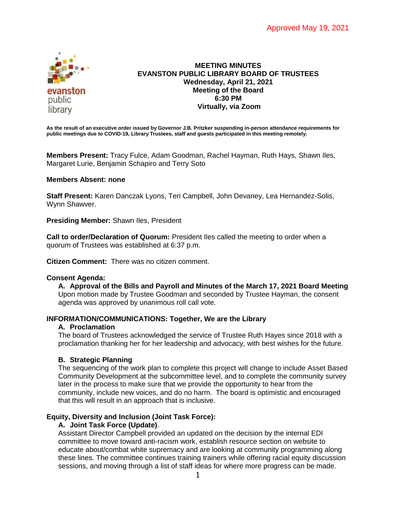

## **MEETING MINUTES EVANSTON PUBLIC LIBRARY BOARD OF TRUSTEES Wednesday, April 21, 2021 Meeting of the Board 6:30 PM Virtually, via Zoom**

**As the result of an executive order issued by Governor J.B. Pritzker suspending in-person attendance requirements for public meetings due to COVID-19, Library Trustees, staff and guests participated in this meeting remotely.**

**Members Present:** Tracy Fulce, Adam Goodman, Rachel Hayman, Ruth Hays, Shawn Iles, Margaret Lurie, Benjamin Schapiro and Terry Soto

## **Members Absent: none**

**Staff Present:** Karen Danczak Lyons, Teri Campbell, John Devaney, Lea Hernandez-Solis, Wynn Shawver.

**Presiding Member:** Shawn Iles, President

**Call to order/Declaration of Quorum:** President Iles called the meeting to order when a quorum of Trustees was established at 6:37 p.m.

**Citizen Comment:** There was no citizen comment.

### **Consent Agenda:**

**A. Approval of the Bills and Payroll and Minutes of the March 17, 2021 Board Meeting** Upon motion made by Trustee Goodman and seconded by Trustee Hayman, the consent agenda was approved by unanimous roll call vote.

# **INFORMATION/COMMUNICATIONS: Together, We are the Library**

### **A. Proclamation**

The board of Trustees acknowledged the service of Trustee Ruth Hayes since 2018 with a proclamation thanking her for her leadership and advocacy, with best wishes for the future.

### **B. Strategic Planning**

The sequencing of the work plan to complete this project will change to include Asset Based Community Development at the subcommittee level, and to complete the community survey later in the process to make sure that we provide the opportunity to hear from the community, include new voices, and do no harm. The board is optimistic and encouraged that this will result in an approach that is inclusive.

# **Equity, Diversity and Inclusion (Joint Task Force):**

# **A. Joint Task Force (Update)**.

Assistant Director Campbell provided an updated on the decision by the internal EDI committee to move toward anti-racism work, establish resource section on website to educate about/combat white supremacy and are looking at community programming along these lines. The committee continues training trainers while offering racial equity discussion sessions, and moving through a list of staff ideas for where more progress can be made.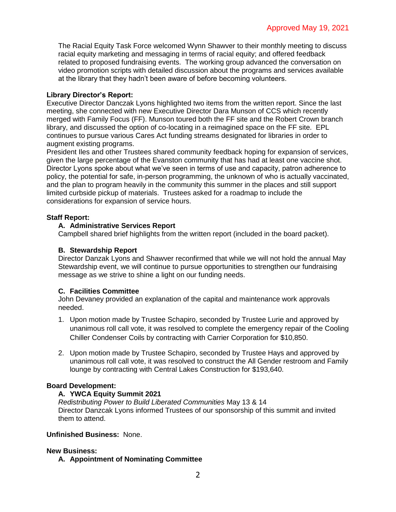The Racial Equity Task Force welcomed Wynn Shawver to their monthly meeting to discuss racial equity marketing and messaging in terms of racial equity; and offered feedback related to proposed fundraising events. The working group advanced the conversation on video promotion scripts with detailed discussion about the programs and services available at the library that they hadn't been aware of before becoming volunteers.

# **Library Director's Report:**

Executive Director Danczak Lyons highlighted two items from the written report. Since the last meeting, she connected with new Executive Director Dara Munson of CCS which recently merged with Family Focus (FF). Munson toured both the FF site and the Robert Crown branch library, and discussed the option of co-locating in a reimagined space on the FF site. EPL continues to pursue various Cares Act funding streams designated for libraries in order to augment existing programs.

President Iles and other Trustees shared community feedback hoping for expansion of services, given the large percentage of the Evanston community that has had at least one vaccine shot. Director Lyons spoke about what we've seen in terms of use and capacity, patron adherence to policy, the potential for safe, in-person programming, the unknown of who is actually vaccinated, and the plan to program heavily in the community this summer in the places and still support limited curbside pickup of materials. Trustees asked for a roadmap to include the considerations for expansion of service hours.

# **Staff Report:**

# **A. Administrative Services Report**

Campbell shared brief highlights from the written report (included in the board packet).

# **B. Stewardship Report**

Director Danzak Lyons and Shawver reconfirmed that while we will not hold the annual May Stewardship event, we will continue to pursue opportunities to strengthen our fundraising message as we strive to shine a light on our funding needs.

# **C. Facilities Committee**

John Devaney provided an explanation of the capital and maintenance work approvals needed.

- 1. Upon motion made by Trustee Schapiro, seconded by Trustee Lurie and approved by unanimous roll call vote, it was resolved to complete the emergency repair of the Cooling Chiller Condenser Coils by contracting with Carrier Corporation for \$10,850.
- 2. Upon motion made by Trustee Schapiro, seconded by Trustee Hays and approved by unanimous roll call vote, it was resolved to construct the All Gender restroom and Family lounge by contracting with Central Lakes Construction for \$193,640.

# **Board Development:**

# **A. YWCA Equity Summit 2021**

*Redistributing Power to Build Liberated Communities* May 13 & 14 Director Danzcak Lyons informed Trustees of our sponsorship of this summit and invited them to attend.

# **Unfinished Business:** None.

# **New Business:**

**A. Appointment of Nominating Committee**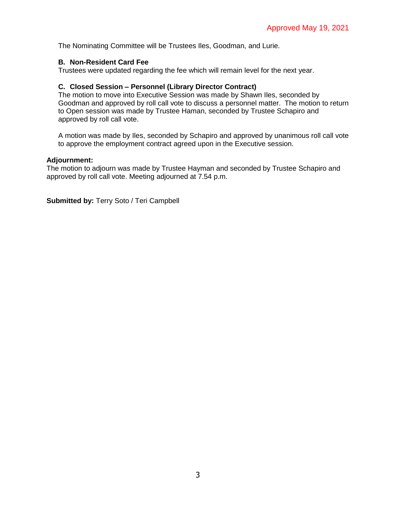The Nominating Committee will be Trustees Iles, Goodman, and Lurie.

## **B. Non-Resident Card Fee**

Trustees were updated regarding the fee which will remain level for the next year.

## **C. Closed Session – Personnel (Library Director Contract)**

The motion to move into Executive Session was made by Shawn Iles, seconded by Goodman and approved by roll call vote to discuss a personnel matter. The motion to return to Open session was made by Trustee Haman, seconded by Trustee Schapiro and approved by roll call vote.

A motion was made by Iles, seconded by Schapiro and approved by unanimous roll call vote to approve the employment contract agreed upon in the Executive session.

### **Adjournment:**

The motion to adjourn was made by Trustee Hayman and seconded by Trustee Schapiro and approved by roll call vote. Meeting adjourned at 7.54 p.m.

**Submitted by:** Terry Soto / Teri Campbell